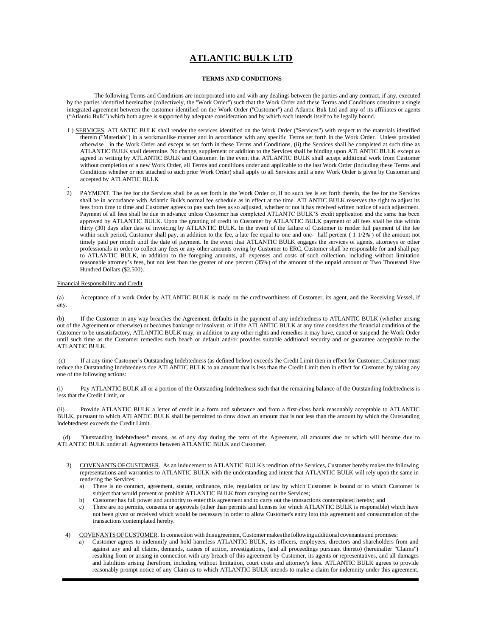## **ATLANTIC BULK LTD**

## **TERMS AND CONDITIONS**

The following Terms and Conditions are incorporated into and with any dealings between the parties and any contract, if any, executed by the parties identified hereinafter (collectively, the "Work Order") such that the Work Order and these Terms and Conditions constitute a single integrated agreement between the customer identified on the Work Order ("Customer") and Atlantic Buk Ltd and any of its affiliates or agents ("Atlantic Bulk") which both agree is supported by adequate consideration and by which each intends itself to be legally bound.

- I ) SERVICES. ATLANTIC BULK shall render the services identified on the Work Order ("Services") with respect to the materials identified therein ("Materials") in a workmanlike manner and in accordance with any specific Terms set forth in the Work Order. Unless provided otherwise in the Work Order and except as set forth in these Terms and Conditions, (ii) the Services shall be completed at such time as ATLANTIC BULK shall determine. No change, supplement or addition to the Services shall be binding upon ATLANTIC BULK except as agreed in writing by ATLANTIC BULK and Customer. In the event that ATLANTIC BULK shall accept additional work from Customer without completion of a new Work Order, all Terms and conditions under and applicable to the last Work Order (including these Terms and Conditions whether or not attached to such prior Work Order) shall apply to all Services until a new Work Order is given by Customer and accepted by ATLANTIC BULK
- 2) PAYMENT. The fee for the Services shall be as set forth in the Work Order or, if no such fee is set forth therein, the fee for the Services shall be in accordance with Atlantic Bulk's normal fee schedule as in effect at the time. ATLANTIC BULK reserves the right to adjust its fees from time to time and Customer agrees to pay such fees as so adjusted, whether or not it has received written notice of such adjustment. Payment of all fees shall be due in advance unless Customer has completed ATLANTC BULK'S credit application and the same has been approved by ATLANTIC BULK. Upon the granting of credit to Customer by ATLANTIC BULK payment of all fees shall be due within thirty (30) days after date of invoicing by ATLANTIC BULK. In the event of the failure of Customer to render full payment of the fee within such period, Customer shall pay, in addition to the fee, a late fee equal to one and one- half percent ( 1 1/2*%* ) of the amount not timely paid per month until the date of payment. In the event that ATLANTIC BULK engages the services of agents, attorneys or other professionals in order to collect any fees or any other amounts owing by Customer to ERC, Customer shall be responsible for and shall pay to ATLANTIC BULK, in addition to the foregoing amounts, all expenses and costs of such collection, including without limitation reasonable attorney's fees, but not less than the greater of one percent (35%) of the amount of the unpaid amount or Two Thousand Five Hundred Dollars (\$2,500).

## Financial Responsibility and Credit

.

(a) Acceptance of a work Order by ATLANTIC BULK is made on the creditworthiness of Customer, its agent, and the Receiving Vessel, if any.

(b) If the Customer in any way breaches the Agreement, defaults in the payment of any indebtedness to ATLANTIC BULK (whether arising out of the Agreement or otherwise) or becomes bankrupt or insolvent, or if the ATLANTIC BULK at any time considers the financial condition of the Customer to be unsatisfactory, ATLANTIC BULK may, in addition to any other rights and remedies it may have, cancel or suspend the Work Order until such time as the Customer remedies such beach or default and/or provides suitable additional security and or guarantee acceptable to the ATLANTIC BULK.

(c) If at any time Customer's Outstanding Indebtedness (as defined below) exceeds the Credit Limit then in effect for Customer, Customer must reduce the Outstanding Indebtedness due ATLANTIC BULK to an amount that is less than the Credit Limit then in effect for Customer by taking any one of the following actions:

(i) Pay ATLANTIC BULK all or a portion of the Outstanding Indebtedness such that the remaining balance of the Outstanding Indebtedness is less that the Credit Limit, or

(ii) Provide ATLANTIC BULK a letter of credit in a form and substance and from a first-class bank reasonably acceptable to ATLANTIC BULK, pursuant to which ATLANTIC BULK shall be permitted to draw down an amount that is not less than the amount by which the Outstanding Indebtedness exceeds the Credit Limit.

"Outstanding Indebtedness" means, as of any day during the term of the Agreement, all amounts due or which will become due to ATLANTIC BULK under all Agreements between ATLANTIC BULK and Customer.

- 3) COVENANTS OFCUSTOMER. As an inducement to ATLANTIC BULK's rendition ofthe Services, Customer hereby makes the following representations and warranties to ATLANTIC BULK with the understanding and intent that ATLANTIC BULK will rely upon the same in rendering the Services:
	- a) There is no contract, agreement, statute, ordinance, rule, regulation or law by which Customer is bound or to which Customer is subject that would prevent or prohibit ATLANTIC BULK from carrying out the Services;
	- b) Customer has full power and authority to enter this agreement and to carry out the transactions contemplated hereby; and
	- c) There are no permits, consents or approvals (other than permits and licenses for which ATLANTIC BULK is responsible) which have not been given or received which would be necessary in order to allow Customer's entry into this agreement and consummation of the transactions contemplated hereby.
- 4) COVENANTSOFCUSTOMER. In connection with this agreement,Customermakesthe followingadditional covenants and promises:
	- a) Customer agrees to indemnify and hold harmless ATLANTIC BULK, its officers, employees, directors and shareholders from and against any and all claims, demands, causes of action, investigations, (and all proceedings pursuant thereto) (hereinafter "Claims") resulting from or arising in connection with any breach of this agreement by Customer, its agents or representatives, and all damages and liabilities arising therefrom, including without limitation, court costs and attorney's fees. ATLANTIC BULK agrees to provide reasonably prompt notice of any Claim as to which ATLANTIC BULK intends to make a claim for indemnity under this agreement,